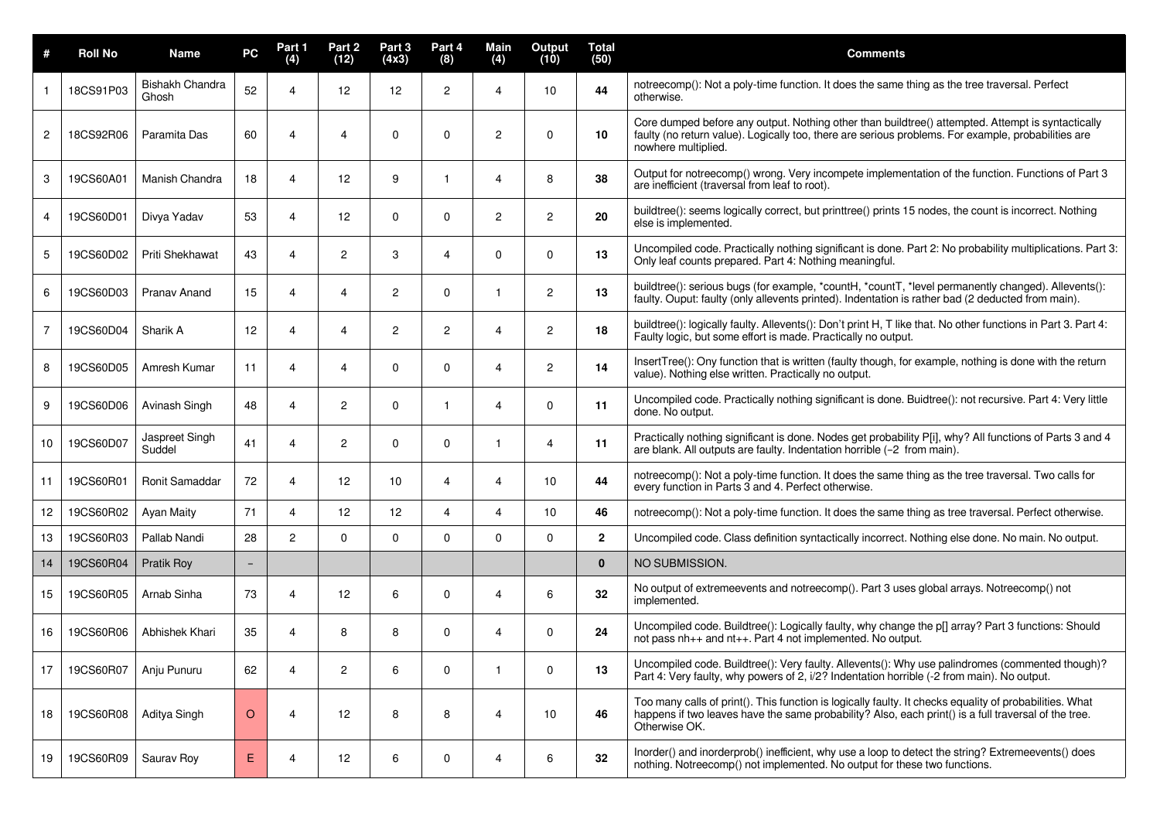| #              | <b>Roll No</b> | <b>Name</b>              | PC                       | Part 1<br>(4)  | Part 2<br>(12) | Part 3<br>(4x3) | Part 4<br>(8)  | Main<br>(4)           | <b>Output</b><br>(10) | <b>Total</b><br>(50) | <b>Comments</b>                                                                                                                                                                                                                  |
|----------------|----------------|--------------------------|--------------------------|----------------|----------------|-----------------|----------------|-----------------------|-----------------------|----------------------|----------------------------------------------------------------------------------------------------------------------------------------------------------------------------------------------------------------------------------|
|                | 18CS91P03      | Bishakh Chandra<br>Ghosh | 52                       | 4              | 12             | 12              | $\overline{2}$ | $\boldsymbol{\Delta}$ | 10                    | 44                   | notreecomp(): Not a poly-time function. It does the same thing as the tree traversal. Perfect<br>otherwise.                                                                                                                      |
| 2              | 18CS92R06      | Paramita Das             | 60                       | 4              | 4              | 0               | 0              | 2                     | $\mathbf{0}$          | 10                   | Core dumped before any output. Nothing other than buildtree() attempted. Attempt is syntactically<br>faulty (no return value). Logically too, there are serious problems. For example, probabilities are<br>nowhere multiplied.  |
| 3              | 19CS60A01      | Manish Chandra           | 18                       | 4              | 12             | 9               | -1             | 4                     | 8                     | 38                   | Output for notreecomp() wrong. Very incompete implementation of the function. Functions of Part 3<br>are inefficient (traversal from leaf to root).                                                                              |
| 4              | 19CS60D01      | Divya Yadav              | 53                       | 4              | 12             | 0               | $\mathbf 0$    | $\mathbf{2}^{\prime}$ | $\mathbf{2}^{\circ}$  | 20                   | buildtree(): seems logically correct, but printtree() prints 15 nodes, the count is incorrect. Nothing<br>else is implemented.                                                                                                   |
| 5              | 19CS60D02      | Priti Shekhawat          | 43                       | 4              | 2              | 3               | $\overline{4}$ | 0                     | 0                     | 13                   | Uncompiled code. Practically nothing significant is done. Part 2: No probability multiplications. Part 3:<br>Only leaf counts prepared. Part 4: Nothing meaningful.                                                              |
| 6              | 19CS60D03      | Pranav Anand             | 15                       | 4              | 4              | 2               | 0              |                       | $\overline{2}$        | 13                   | buildtree(): serious bugs (for example, *countH, *countT, *level permanently changed). Allevents():<br>faulty. Ouput: faulty (only allevents printed). Indentation is rather bad (2 deducted from main).                         |
| $\overline{7}$ | 19CS60D04      | Sharik A                 | 12                       | 4              | 4              | 2               | 2              | 4                     | 2                     | 18                   | buildtree(): logically faulty. Allevents(): Don't print H, T like that. No other functions in Part 3. Part 4:<br>Faulty logic, but some effort is made. Practically no output.                                                   |
| 8              | 19CS60D05      | Amresh Kumar             | 11                       | 4              | 4              | 0               | 0              | 4                     | $\mathbf{2}$          | 14                   | InsertTree(): Ony function that is written (faulty though, for example, nothing is done with the return<br>value). Nothing else written. Practically no output.                                                                  |
| 9              | 19CS60D06      | Avinash Singh            | 48                       | 4              | 2              | 0               | -1             | 4                     | 0                     | 11                   | Uncompiled code. Practically nothing significant is done. Buidtree(): not recursive. Part 4: Very little<br>done. No output.                                                                                                     |
| 10             | 19CS60D07      | Jaspreet Singh<br>Suddel | 41                       | 4              | 2              | 0               | $\Omega$       |                       | $\overline{4}$        | 11                   | Practically nothing significant is done. Nodes get probability P[i], why? All functions of Parts 3 and 4<br>are blank. All outputs are faulty. Indentation horrible (-2 from main).                                              |
| 11             | 19CS60R01      | <b>Ronit Samaddar</b>    | 72                       | 4              | 12             | 10              | $\overline{4}$ | 4                     | 10                    | 44                   | notreecomp(): Not a poly-time function. It does the same thing as the tree traversal. Two calls for<br>every function in Parts 3 and 4. Perfect otherwise.                                                                       |
| 12             | 19CS60R02      | Ayan Maity               | 71                       | 4              | 12             | 12              | $\overline{4}$ | 4                     | 10                    | 46                   | notreecomp(): Not a poly-time function. It does the same thing as tree traversal. Perfect otherwise.                                                                                                                             |
| 13             | 19CS60R03      | Pallab Nandi             | 28                       | $\overline{2}$ | 0              | 0               | 0              | $\Omega$              | 0                     | $\overline{2}$       | Uncompiled code. Class definition syntactically incorrect. Nothing else done. No main. No output.                                                                                                                                |
| 14             | 19CS60R04      | Pratik Roy               | $\overline{\phantom{a}}$ |                |                |                 |                |                       |                       | $\mathbf{0}$         | NO SUBMISSION.                                                                                                                                                                                                                   |
| 15             | 19CS60R05      | Arnab Sinha              | 73                       | 4              | 12             | 6               | 0              | 4                     | 6                     | 32                   | No output of extremeevents and notreecomp(). Part 3 uses global arrays. Notreecomp() not<br>implemented.                                                                                                                         |
| 16             | 19CS60R06      | Abhishek Khari           | 35                       | 4              | 8              | 8               | 0              | 4                     | 0                     | 24                   | Uncompiled code. Buildtree(): Logically faulty, why change the p[] array? Part 3 functions: Should<br>not pass nh <sub>++</sub> and nt <sub>++</sub> . Part 4 not implemented. No output.                                        |
| 17             | 19CS60R07      | Anju Punuru              | 62                       | 4              | $\overline{c}$ | 6               | 0              |                       | $\mathbf 0$           | 13                   | Uncompiled code. Buildtree(): Very faulty. Allevents(): Why use palindromes (commented though)?<br>Part 4: Very faulty, why powers of 2, i/2? Indentation horrible (-2 from main). No output.                                    |
| 18             | 19CS60R08      | Aditya Singh             | $\circ$                  | 4              | 12             | 8               | 8              | 4                     | 10                    | 46                   | Too many calls of print(). This function is logically faulty. It checks equality of probabilities. What<br>happens if two leaves have the same probability? Also, each print() is a full traversal of the tree.<br>Otherwise OK. |
| 19             | 19CS60R09      | Saurav Roy               | E.                       | 4              | 12             | 6               | $\pmb{0}$      | 4                     | 6                     | 32                   | Inorder() and inorderprob() inefficient, why use a loop to detect the string? Extremeevents() does<br>nothing. Notreecomp() not implemented. No output for these two functions.                                                  |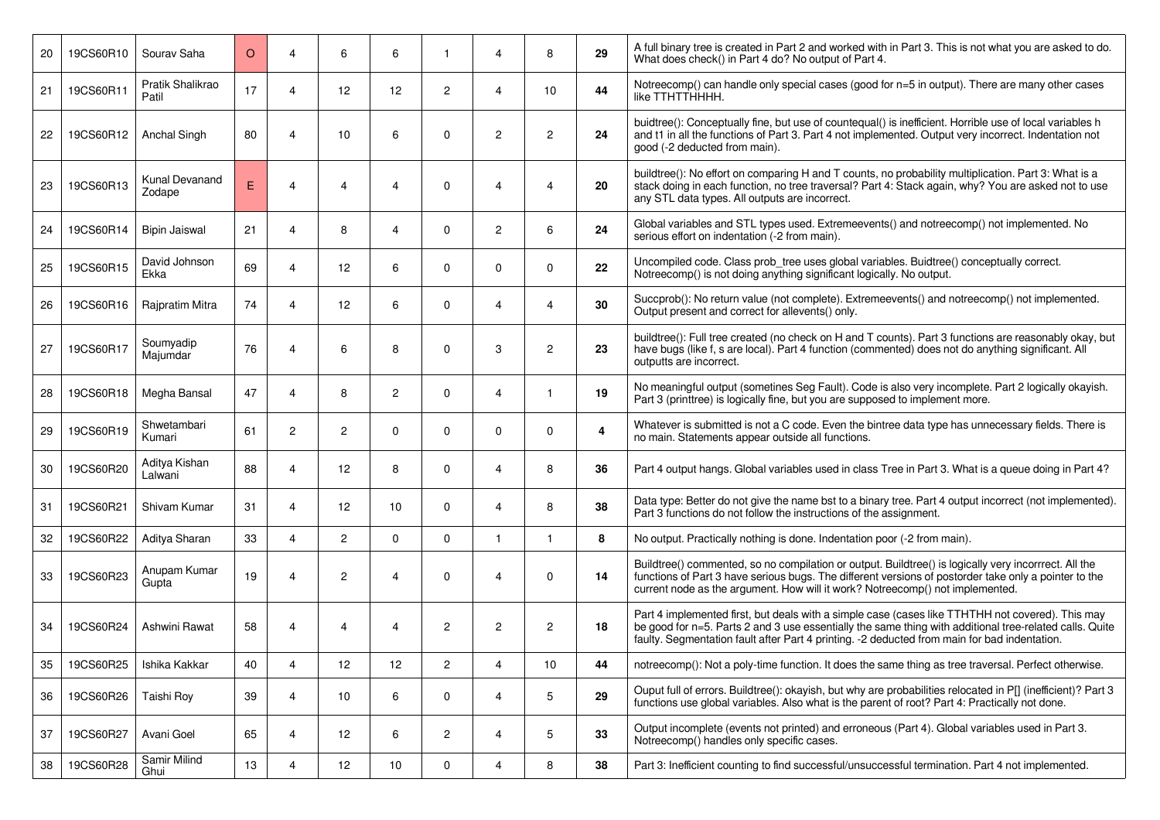| 20 | 19CS60R10 | Sourav Saha               | $\circ$ | 4 | 6              | 6              | 1              | 4              | 8              | 29 | A full binary tree is created in Part 2 and worked with in Part 3. This is not what you are asked to do.<br>What does check() in Part 4 do? No output of Part 4.                                                                                                                                            |
|----|-----------|---------------------------|---------|---|----------------|----------------|----------------|----------------|----------------|----|-------------------------------------------------------------------------------------------------------------------------------------------------------------------------------------------------------------------------------------------------------------------------------------------------------------|
| 21 | 19CS60R11 | Pratik Shalikrao<br>Patil | 17      | 4 | 12             | 12             | $\overline{2}$ | 4              | 10             | 44 | Notreecomp() can handle only special cases (good for n=5 in output). There are many other cases<br>like TTHTTHHHH.                                                                                                                                                                                          |
| 22 | 19CS60R12 | Anchal Singh              | 80      | 4 | 10             | 6              | $\mathbf 0$    | $\overline{2}$ | $\mathbf{2}$   | 24 | buidtree(): Conceptually fine, but use of countequal() is inefficient. Horrible use of local variables h<br>and t1 in all the functions of Part 3. Part 4 not implemented. Output very incorrect. Indentation not<br>good (-2 deducted from main).                                                          |
| 23 | 19CS60R13 | Kunal Devanand<br>Zodape  | E.      | 4 | 4              | 4              | $\mathbf 0$    | 4              | 4              | 20 | buildtree(): No effort on comparing H and T counts, no probability multiplication. Part 3: What is a<br>stack doing in each function, no tree traversal? Part 4: Stack again, why? You are asked not to use<br>any STL data types. All outputs are incorrect.                                               |
| 24 | 19CS60R14 | <b>Bipin Jaiswal</b>      | 21      | 4 | 8              | 4              | $\mathbf 0$    | 2              | 6              | 24 | Global variables and STL types used. Extremeevents() and notreecomp() not implemented. No<br>serious effort on indentation (-2 from main).                                                                                                                                                                  |
| 25 | 19CS60R15 | David Johnson<br>Ekka     | 69      | 4 | 12             | 6              | $\mathbf 0$    | $\mathbf{0}$   | $\mathbf 0$    | 22 | Uncompiled code. Class prob_tree uses global variables. Buidtree() conceptually correct.<br>Notreecomp() is not doing anything significant logically. No output.                                                                                                                                            |
| 26 | 19CS60R16 | Rajpratim Mitra           | 74      | 4 | 12             | 6              | $\mathbf 0$    | 4              | 4              | 30 | Succprob(): No return value (not complete). Extremeevents() and notreecomp() not implemented.<br>Output present and correct for allevents() only.                                                                                                                                                           |
| 27 | 19CS60R17 | Soumyadip<br>Majumdar     | 76      | 4 | 6              | 8              | $\mathbf 0$    | 3              | $\mathbf{2}$   | 23 | buildtree(): Full tree created (no check on H and T counts). Part 3 functions are reasonably okay, but<br>have bugs (like f, s are local). Part 4 function (commented) does not do anything significant. All<br>outputts are incorrect.                                                                     |
| 28 | 19CS60R18 | Megha Bansal              | 47      | 4 | 8              | $\overline{2}$ | $\mathbf 0$    | 4              | $\mathbf{1}$   | 19 | No meaningful output (sometines Seg Fault). Code is also very incomplete. Part 2 logically okayish.<br>Part 3 (printtree) is logically fine, but you are supposed to implement more.                                                                                                                        |
| 29 | 19CS60R19 | Shwetambari<br>Kumari     | 61      | 2 | $\overline{2}$ | 0              | $\mathbf 0$    | 0              | $\mathbf 0$    | 4  | Whatever is submitted is not a C code. Even the bintree data type has unnecessary fields. There is<br>no main. Statements appear outside all functions.                                                                                                                                                     |
| 30 | 19CS60R20 | Aditya Kishan<br>Lalwani  | 88      | 4 | 12             | 8              | $\mathbf 0$    | 4              | 8              | 36 | Part 4 output hangs. Global variables used in class Tree in Part 3. What is a queue doing in Part 4?                                                                                                                                                                                                        |
| 31 | 19CS60R21 | Shivam Kumar              | 31      | 4 | 12             | 10             | $\mathbf 0$    | 4              | 8              | 38 | Data type: Better do not give the name bst to a binary tree. Part 4 output incorrect (not implemented).<br>Part 3 functions do not follow the instructions of the assignment.                                                                                                                               |
| 32 | 19CS60R22 | Aditya Sharan             | 33      | 4 | $\overline{2}$ | $\mathbf{0}$   | $\mathbf{0}$   | 1              | $\mathbf{1}$   | 8  | No output. Practically nothing is done. Indentation poor (-2 from main).                                                                                                                                                                                                                                    |
| 33 | 19CS60R23 | Anupam Kumar<br>Gupta     | 19      | 4 | $\overline{c}$ | 4              | $\mathbf 0$    | 4              | $\mathbf 0$    | 14 | Buildtree() commented, so no compilation or output. Buildtree() is logically very incorrrect. All the<br>functions of Part 3 have serious bugs. The different versions of postorder take only a pointer to the<br>current node as the argument. How will it work? Notreecomp() not implemented.             |
| 34 | 19CS60R24 | Ashwini Rawat             | 58      | 4 | 4              | 4              | $\overline{c}$ | 2              | $\overline{c}$ | 18 | Part 4 implemented first, but deals with a simple case (cases like TTHTHH not covered). This may<br>be good for n=5. Parts 2 and 3 use essentially the same thing with additional tree-related calls. Quite<br>faulty. Segmentation fault after Part 4 printing. -2 deducted from main for bad indentation. |
| 35 | 19CS60R25 | Ishika Kakkar             | 40      | 4 | 12             | 12             | $\mathbf 2$    | 4              | 10             | 44 | notreecomp(): Not a poly-time function. It does the same thing as tree traversal. Perfect otherwise.                                                                                                                                                                                                        |
| 36 | 19CS60R26 | Taishi Roy                | 39      | 4 | 10             | 6              | 0              | 4              | 5              | 29 | Ouput full of errors. Buildtree(): okayish, but why are probabilities relocated in P[] (inefficient)? Part 3<br>functions use global variables. Also what is the parent of root? Part 4: Practically not done.                                                                                              |
| 37 | 19CS60R27 | Avani Goel                | 65      | 4 | 12             | 6              | $\overline{c}$ | 4              | 5              | 33 | Output incomplete (events not printed) and erroneous (Part 4). Global variables used in Part 3.<br>Notreecomp() handles only specific cases.                                                                                                                                                                |
| 38 | 19CS60R28 | Samir Milind<br>Ghui      | 13      | 4 | 12             | 10             | 0              | 4              | 8              | 38 | Part 3: Inefficient counting to find successful/unsuccessful termination. Part 4 not implemented.                                                                                                                                                                                                           |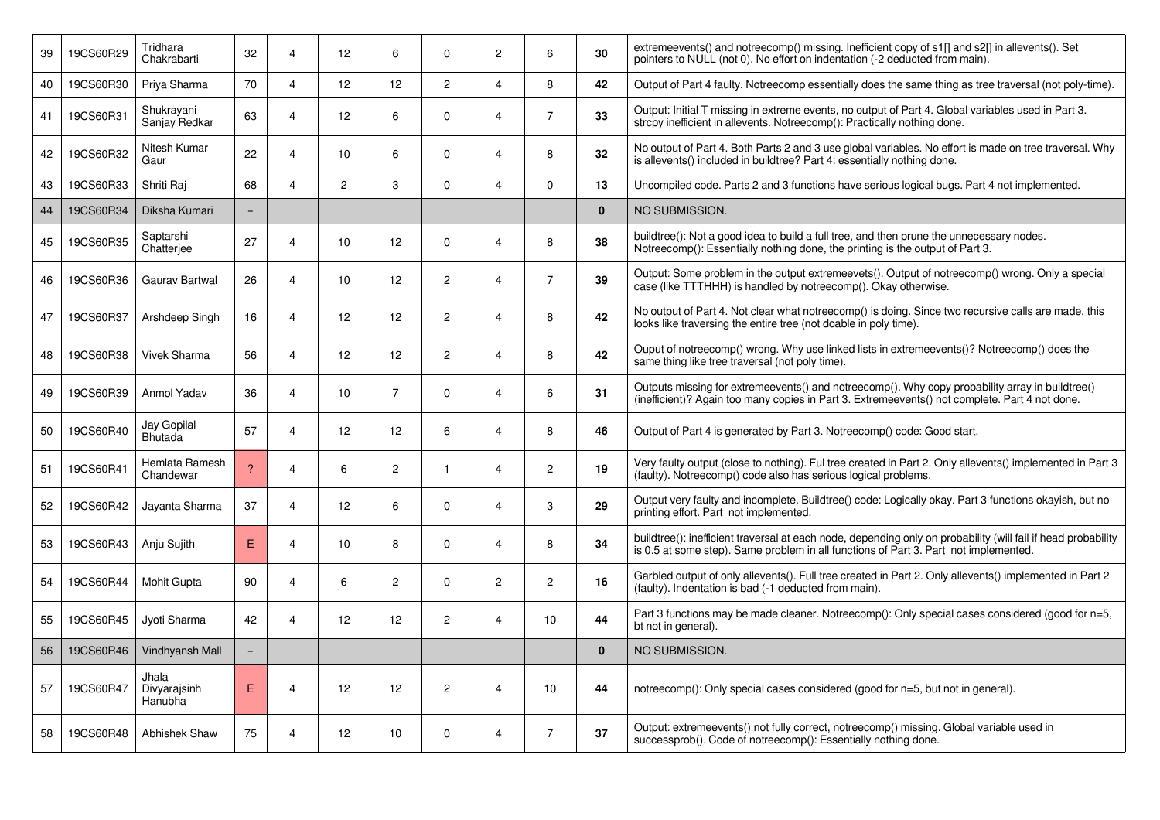| 39 | 19CS60R29 | Tridhara<br>Chakrabarti          | 32                       | $\overline{\mathbf{4}}$  | 12              | 6               | 0              | $\overline{c}$        | 6              | 30           | extremeevents() and notreecomp() missing. Inefficient copy of s1[] and s2[] in allevents(). Set<br>pointers to NULL (not 0). No effort on indentation (-2 deducted from main).                        |
|----|-----------|----------------------------------|--------------------------|--------------------------|-----------------|-----------------|----------------|-----------------------|----------------|--------------|-------------------------------------------------------------------------------------------------------------------------------------------------------------------------------------------------------|
| 40 | 19CS60R30 | Priya Sharma                     | 70                       | $\overline{4}$           | 12              | 12              | $\overline{2}$ | 4                     | 8              | 42           | Output of Part 4 faulty. Notreecomp essentially does the same thing as tree traversal (not poly-time).                                                                                                |
| 41 | 19CS60R31 | Shukrayani<br>Sanjay Redkar      | 63                       | $\boldsymbol{\varDelta}$ | 12              | 6               | 0              | 4                     | $\overline{7}$ | 33           | Output: Initial T missing in extreme events, no output of Part 4. Global variables used in Part 3.<br>strcpy inefficient in allevents. Notreecomp(): Practically nothing done.                        |
| 42 | 19CS60R32 | Nitesh Kumar<br>Gaur             | 22                       | $\boldsymbol{\Delta}$    | 10              | 6               | 0              | 4                     | 8              | 32           | No output of Part 4. Both Parts 2 and 3 use global variables. No effort is made on tree traversal. Why<br>is allevents() included in buildtree? Part 4: essentially nothing done.                     |
| 43 | 19CS60R33 | Shriti Raj                       | 68                       | $\overline{A}$           | $\overline{c}$  | 3               | 0              | 4                     | $\Omega$       | 13           | Uncompiled code. Parts 2 and 3 functions have serious logical bugs. Part 4 not implemented.                                                                                                           |
| 44 | 19CS60R34 | Diksha Kumari                    | $\overline{\phantom{a}}$ |                          |                 |                 |                |                       |                | $\mathbf{0}$ | NO SUBMISSION.                                                                                                                                                                                        |
| 45 | 19CS60R35 | Saptarshi<br>Chatterjee          | 27                       | $\overline{4}$           | 10              | 12 <sup>2</sup> | 0              | 4                     | 8              | 38           | buildtree(): Not a good idea to build a full tree, and then prune the unnecessary nodes.<br>Notreecomp(): Essentially nothing done, the printing is the output of Part 3.                             |
| 46 | 19CS60R36 | <b>Gaurav Bartwal</b>            | 26                       | $\boldsymbol{\Delta}$    | 10              | 12 <sup>2</sup> | $\overline{2}$ | 4                     | $\overline{7}$ | 39           | Output: Some problem in the output extremeevets(). Output of notreecomp() wrong. Only a special<br>case (like TTTHHH) is handled by notreecomp(). Okay otherwise.                                     |
| 47 | 19CS60R37 | Arshdeep Singh                   | 16                       | $\boldsymbol{\Delta}$    | 12              | 12              | $\overline{c}$ | 4                     | 8              | 42           | No output of Part 4. Not clear what notreecomp() is doing. Since two recursive calls are made, this<br>looks like traversing the entire tree (not doable in poly time).                               |
| 48 | 19CS60R38 | <b>Vivek Sharma</b>              | 56                       | $\boldsymbol{\Delta}$    | 12              | 12              | $\mathbf{2}$   | 4                     | 8              | 42           | Ouput of notreecomp() wrong. Why use linked lists in extremeevents()? Notreecomp() does the<br>same thing like tree traversal (not poly time).                                                        |
| 49 | 19CS60R39 | Anmol Yadav                      | 36                       | $\overline{4}$           | 10              | $\overline{7}$  | 0              | 4                     | 6              | 31           | Outputs missing for extremeevents() and notreecomp(). Why copy probability array in buildtree()<br>(inefficient)? Again too many copies in Part 3. Extremeevents() not complete. Part 4 not done.     |
| 50 | 19CS60R40 | Jay Gopilal<br>Bhutada           | 57                       | $\boldsymbol{\Delta}$    | 12              | 12              | 6              | 4                     | 8              | 46           | Output of Part 4 is generated by Part 3. Notreecomp() code: Good start.                                                                                                                               |
| 51 | 19CS60R41 | Hemlata Ramesh<br>Chandewar      | $\overline{?}$           | $\overline{4}$           | 6               | 2               | $\mathbf{1}$   | 4                     | 2              | 19           | Very faulty output (close to nothing). Ful tree created in Part 2. Only allevents() implemented in Part 3<br>(faulty). Notreecomp() code also has serious logical problems.                           |
| 52 | 19CS60R42 | Jayanta Sharma                   | 37                       | $\overline{4}$           | 12              | 6               | $\Omega$       | 4                     | 3              | 29           | Output very faulty and incomplete. Buildtree() code: Logically okay. Part 3 functions okayish, but no<br>printing effort. Part not implemented.                                                       |
| 53 | 19CS60R43 | Anju Sujith                      | E.                       | $\boldsymbol{\Delta}$    | 10              | 8               | 0              | 4                     | 8              | 34           | buildtree(): inefficient traversal at each node, depending only on probability (will fail if head probability<br>is 0.5 at some step). Same problem in all functions of Part 3. Part not implemented. |
| 54 | 19CS60R44 | Mohit Gupta                      | 90                       | 4                        | 6               | $\overline{c}$  | 0              | $\overline{c}$        | $\overline{c}$ | 16           | Garbled output of only allevents(). Full tree created in Part 2. Only allevents() implemented in Part 2<br>(faulty). Indentation is bad (-1 deducted from main).                                      |
| 55 | 19CS60R45 | Jyoti Sharma                     | 42                       | $\overline{4}$           | 12 <sup>2</sup> | 12              | $\overline{2}$ | 4                     | 10             | 44           | Part 3 functions may be made cleaner. Notreecomp(): Only special cases considered (good for n=5,<br>bt not in general).                                                                               |
| 56 | 19CS60R46 | Vindhyansh Mall                  |                          |                          |                 |                 |                |                       |                | $\mathbf{0}$ | NO SUBMISSION.                                                                                                                                                                                        |
| 57 | 19CS60R47 | Jhala<br>Divyarajsinh<br>Hanubha | E                        | $\overline{4}$           | 12              | 12              | $\mathbf{2}$   | $\boldsymbol{\Delta}$ | 10             | 44           | notreecomp(): Only special cases considered (good for n=5, but not in general).                                                                                                                       |
| 58 | 19CS60R48 | <b>Abhishek Shaw</b>             | 75                       | 4                        | 12 <sup>2</sup> | 10              | 0              | 4                     | $\overline{7}$ | 37           | Output: extremeevents() not fully correct, notreecomp() missing. Global variable used in<br>successprob(). Code of notreecomp(): Essentially nothing done.                                            |